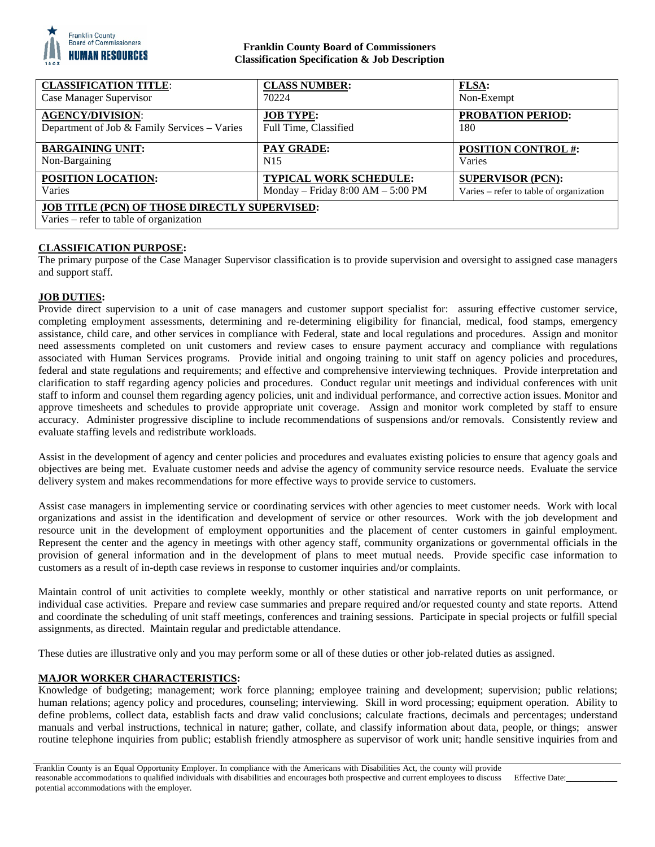

# **Franklin County Board of Commissioners Classification Specification & Job Description**

| <b>CLASSIFICATION TITLE:</b>                         | <b>CLASS NUMBER:</b>                | <b>FLSA:</b>                            |
|------------------------------------------------------|-------------------------------------|-----------------------------------------|
| Case Manager Supervisor                              | 70224                               | Non-Exempt                              |
| <b>AGENCY/DIVISION:</b>                              | <b>JOB TYPE:</b>                    | <b>PROBATION PERIOD:</b>                |
| Department of Job & Family Services - Varies         | Full Time, Classified               | 180                                     |
| <b>BARGAINING UNIT:</b>                              | <b>PAY GRADE:</b>                   | <b>POSITION CONTROL #:</b>              |
| Non-Bargaining                                       | N <sub>15</sub>                     | Varies                                  |
| POSITION LOCATION:                                   | <b>TYPICAL WORK SCHEDULE:</b>       | <b>SUPERVISOR (PCN):</b>                |
| Varies                                               | Monday – Friday $8:00 AM - 5:00 PM$ | Varies – refer to table of organization |
| <b>JOB TITLE (PCN) OF THOSE DIRECTLY SUPERVISED:</b> |                                     |                                         |
| Varies – refer to table of organization              |                                     |                                         |

# **CLASSIFICATION PURPOSE:**

The primary purpose of the Case Manager Supervisor classification is to provide supervision and oversight to assigned case managers and support staff.

## **JOB DUTIES:**

Provide direct supervision to a unit of case managers and customer support specialist for: assuring effective customer service, completing employment assessments, determining and re-determining eligibility for financial, medical, food stamps, emergency assistance, child care, and other services in compliance with Federal, state and local regulations and procedures. Assign and monitor need assessments completed on unit customers and review cases to ensure payment accuracy and compliance with regulations associated with Human Services programs. Provide initial and ongoing training to unit staff on agency policies and procedures, federal and state regulations and requirements; and effective and comprehensive interviewing techniques. Provide interpretation and clarification to staff regarding agency policies and procedures. Conduct regular unit meetings and individual conferences with unit staff to inform and counsel them regarding agency policies, unit and individual performance, and corrective action issues. Monitor and approve timesheets and schedules to provide appropriate unit coverage. Assign and monitor work completed by staff to ensure accuracy. Administer progressive discipline to include recommendations of suspensions and/or removals. Consistently review and evaluate staffing levels and redistribute workloads.

Assist in the development of agency and center policies and procedures and evaluates existing policies to ensure that agency goals and objectives are being met. Evaluate customer needs and advise the agency of community service resource needs. Evaluate the service delivery system and makes recommendations for more effective ways to provide service to customers.

Assist case managers in implementing service or coordinating services with other agencies to meet customer needs. Work with local organizations and assist in the identification and development of service or other resources. Work with the job development and resource unit in the development of employment opportunities and the placement of center customers in gainful employment. Represent the center and the agency in meetings with other agency staff, community organizations or governmental officials in the provision of general information and in the development of plans to meet mutual needs. Provide specific case information to customers as a result of in-depth case reviews in response to customer inquiries and/or complaints.

Maintain control of unit activities to complete weekly, monthly or other statistical and narrative reports on unit performance, or individual case activities. Prepare and review case summaries and prepare required and/or requested county and state reports. Attend and coordinate the scheduling of unit staff meetings, conferences and training sessions. Participate in special projects or fulfill special assignments, as directed. Maintain regular and predictable attendance.

These duties are illustrative only and you may perform some or all of these duties or other job-related duties as assigned.

# **MAJOR WORKER CHARACTERISTICS:**

Knowledge of budgeting; management; work force planning; employee training and development; supervision; public relations; human relations; agency policy and procedures, counseling; interviewing. Skill in word processing; equipment operation. Ability to define problems, collect data, establish facts and draw valid conclusions; calculate fractions, decimals and percentages; understand manuals and verbal instructions, technical in nature; gather, collate, and classify information about data, people, or things; answer routine telephone inquiries from public; establish friendly atmosphere as supervisor of work unit; handle sensitive inquiries from and